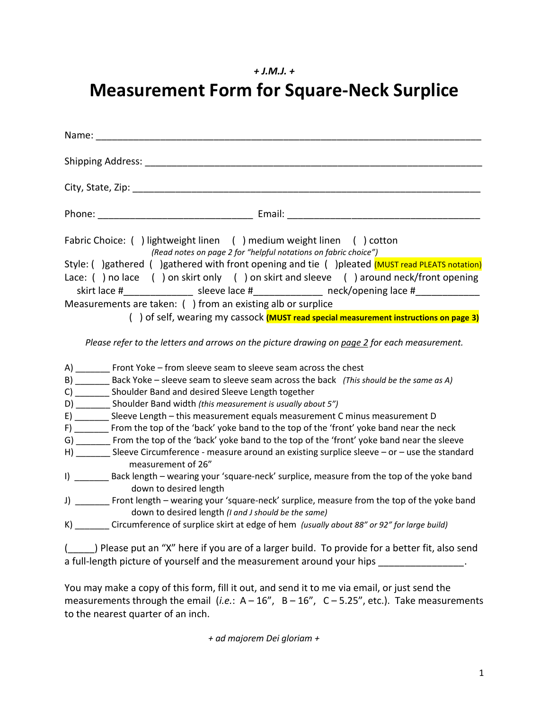## *+ J.M.J. +*

# **Measurement Form for Square-Neck Surplice**

| Name: <u>__________________</u>                                                                                                                                                                                                                                                                                                                                                                                                                                                                                                                                                                                                                                                                                                                                                                                                                                                                                                                                                                                                                                                                                                                                       |
|-----------------------------------------------------------------------------------------------------------------------------------------------------------------------------------------------------------------------------------------------------------------------------------------------------------------------------------------------------------------------------------------------------------------------------------------------------------------------------------------------------------------------------------------------------------------------------------------------------------------------------------------------------------------------------------------------------------------------------------------------------------------------------------------------------------------------------------------------------------------------------------------------------------------------------------------------------------------------------------------------------------------------------------------------------------------------------------------------------------------------------------------------------------------------|
| Shipping Address: The Contract of the Contract of the Contract of the Contract of the Contract of the Contract of the Contract of the Contract of the Contract of the Contract of the Contract of the Contract of the Contract                                                                                                                                                                                                                                                                                                                                                                                                                                                                                                                                                                                                                                                                                                                                                                                                                                                                                                                                        |
|                                                                                                                                                                                                                                                                                                                                                                                                                                                                                                                                                                                                                                                                                                                                                                                                                                                                                                                                                                                                                                                                                                                                                                       |
|                                                                                                                                                                                                                                                                                                                                                                                                                                                                                                                                                                                                                                                                                                                                                                                                                                                                                                                                                                                                                                                                                                                                                                       |
| Fabric Choice: () lightweight linen () medium weight linen () cotton<br>(Read notes on page 2 for "helpful notations on fabric choice")<br>Style: () gathered () gathered with front opening and tie () pleated (MUST read PLEATS notation)<br>Lace: () no lace () on skirt only () on skirt and sleeve () around neck/front opening<br>skirt lace #_________________ sleeve lace #_______________ neck/opening lace #______________<br>Measurements are taken: () from an existing alb or surplice<br>() of self, wearing my cassock (MUST read special measurement instructions on page 3)<br>Please refer to the letters and arrows on the picture drawing on page 2 for each measurement.                                                                                                                                                                                                                                                                                                                                                                                                                                                                         |
| A) ________ Front Yoke - from sleeve seam to sleeve seam across the chest<br>B) ________ Back Yoke - sleeve seam to sleeve seam across the back (This should be the same as A)<br>C) ________ Shoulder Band and desired Sleeve Length together<br>D) _________ Shoulder Band width (this measurement is usually about 5")<br>E) ________ Sleeve Length - this measurement equals measurement C minus measurement D<br>F) _______ From the top of the 'back' yoke band to the top of the 'front' yoke band near the neck<br>G) _______ From the top of the 'back' yoke band to the top of the 'front' yoke band near the sleeve<br>H) _______ Sleeve Circumference - measure around an existing surplice sleeve - or - use the standard<br>measurement of 26"<br>I) _______ Back length - wearing your 'square-neck' surplice, measure from the top of the yoke band<br>down to desired length<br>J) ________ Front length – wearing your 'square-neck' surplice, measure from the top of the yoke band<br>down to desired length (I and J should be the same)<br>K) _______ Circumference of surplice skirt at edge of hem (usually about 88" or 92" for large build) |
| ( ) Please put an "X" here if you are of a larger build. To provide for a better fit, also send<br>a full-length picture of yourself and the measurement around your hips _______________.                                                                                                                                                                                                                                                                                                                                                                                                                                                                                                                                                                                                                                                                                                                                                                                                                                                                                                                                                                            |

You may make a copy of this form, fill it out, and send it to me via email, or just send the measurements through the email (*i.e.*: A – 16", B – 16", C – 5.25", etc.). Take measurements to the nearest quarter of an inch.

 *+ ad majorem Dei gloriam +*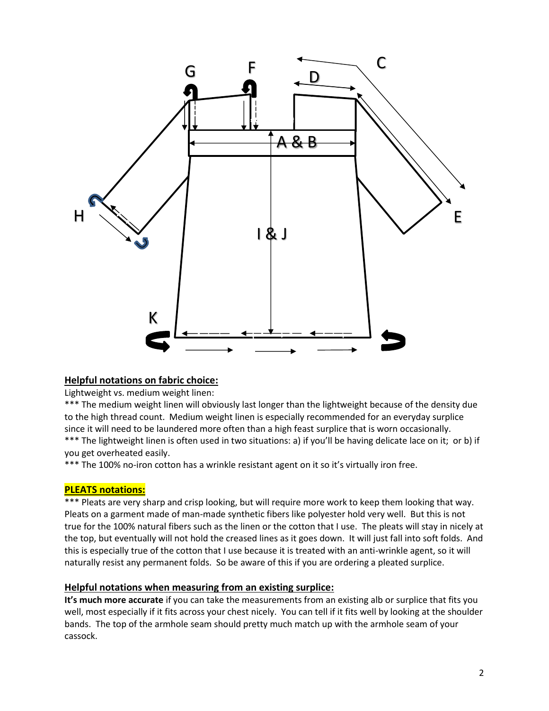

#### **Helpful notations on fabric choice:**

Lightweight vs. medium weight linen:

\*\*\* The medium weight linen will obviously last longer than the lightweight because of the density due to the high thread count. Medium weight linen is especially recommended for an everyday surplice since it will need to be laundered more often than a high feast surplice that is worn occasionally. \*\*\* The lightweight linen is often used in two situations: a) if you'll be having delicate lace on it; or b) if you get overheated easily.

\*\*\* The 100% no-iron cotton has a wrinkle resistant agent on it so it's virtually iron free.

#### **PLEATS notations:**

\*\*\* Pleats are very sharp and crisp looking, but will require more work to keep them looking that way. Pleats on a garment made of man-made synthetic fibers like polyester hold very well. But this is not true for the 100% natural fibers such as the linen or the cotton that I use. The pleats will stay in nicely at the top, but eventually will not hold the creased lines as it goes down. It will just fall into soft folds. And this is especially true of the cotton that I use because it is treated with an anti-wrinkle agent, so it will naturally resist any permanent folds. So be aware of this if you are ordering a pleated surplice.

#### **Helpful notations when measuring from an existing surplice:**

**It's much more accurate** if you can take the measurements from an existing alb or surplice that fits you well, most especially if it fits across your chest nicely. You can tell if it fits well by looking at the shoulder bands. The top of the armhole seam should pretty much match up with the armhole seam of your cassock.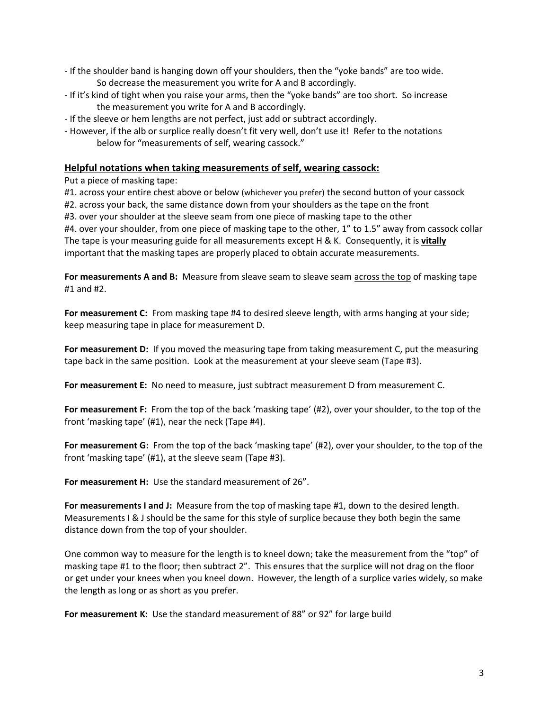- If the shoulder band is hanging down off your shoulders, then the "yoke bands" are too wide. So decrease the measurement you write for A and B accordingly.
- If it's kind of tight when you raise your arms, then the "yoke bands" are too short. So increase the measurement you write for A and B accordingly.
- If the sleeve or hem lengths are not perfect, just add or subtract accordingly.
- However, if the alb or surplice really doesn't fit very well, don't use it! Refer to the notations below for "measurements of self, wearing cassock."

#### **Helpful notations when taking measurements of self, wearing cassock:**

Put a piece of masking tape:

#1. across your entire chest above or below (whichever you prefer) the second button of your cassock #2. across your back, the same distance down from your shoulders as the tape on the front #3. over your shoulder at the sleeve seam from one piece of masking tape to the other #4. over your shoulder, from one piece of masking tape to the other, 1" to 1.5" away from cassock collar The tape is your measuring guide for all measurements except H & K. Consequently, it is **vitally** important that the masking tapes are properly placed to obtain accurate measurements.

For measurements A and B: Measure from sleave seam to sleave seam across the top of masking tape #1 and #2.

**For measurement C:** From masking tape #4 to desired sleeve length, with arms hanging at your side; keep measuring tape in place for measurement D.

**For measurement D:** If you moved the measuring tape from taking measurement C, put the measuring tape back in the same position. Look at the measurement at your sleeve seam (Tape #3).

**For measurement E:** No need to measure, just subtract measurement D from measurement C.

**For measurement F:** From the top of the back 'masking tape' (#2), over your shoulder, to the top of the front 'masking tape' (#1), near the neck (Tape #4).

**For measurement G:** From the top of the back 'masking tape' (#2), over your shoulder, to the top of the front 'masking tape' (#1), at the sleeve seam (Tape #3).

**For measurement H:** Use the standard measurement of 26".

**For measurements I and J:** Measure from the top of masking tape #1, down to the desired length. Measurements I & J should be the same for this style of surplice because they both begin the same distance down from the top of your shoulder.

One common way to measure for the length is to kneel down; take the measurement from the "top" of masking tape #1 to the floor; then subtract 2". This ensures that the surplice will not drag on the floor or get under your knees when you kneel down. However, the length of a surplice varies widely, so make the length as long or as short as you prefer.

**For measurement K:** Use the standard measurement of 88" or 92" for large build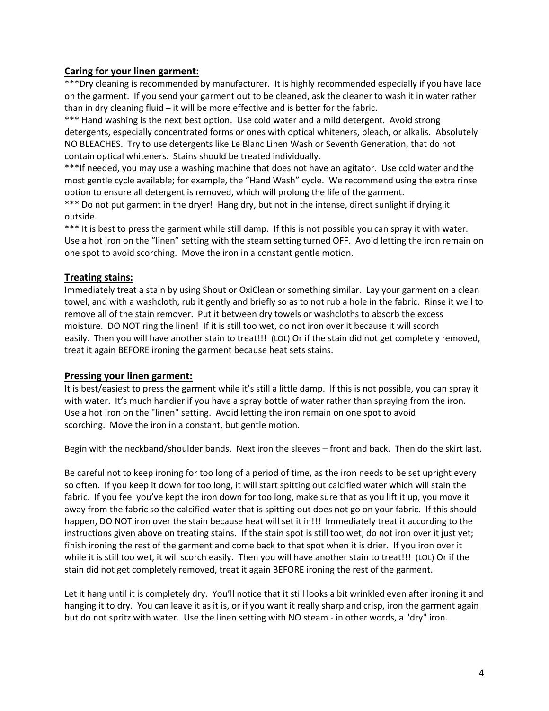## **Caring for your linen garment:**

\*\*\*Dry cleaning is recommended by manufacturer. It is highly recommended especially if you have lace on the garment. If you send your garment out to be cleaned, ask the cleaner to wash it in water rather than in dry cleaning fluid – it will be more effective and is better for the fabric.

\*\*\* Hand washing is the next best option. Use cold water and a mild detergent. Avoid strong detergents, especially concentrated forms or ones with optical whiteners, bleach, or alkalis. Absolutely NO BLEACHES. Try to use detergents like Le Blanc Linen Wash or Seventh Generation, that do not contain optical whiteners. Stains should be treated individually.

\*\*\*If needed, you may use a washing machine that does not have an agitator. Use cold water and the most gentle cycle available; for example, the "Hand Wash" cycle. We recommend using the extra rinse option to ensure all detergent is removed, which will prolong the life of the garment.

\*\*\* Do not put garment in the dryer! Hang dry, but not in the intense, direct sunlight if drying it outside.

\*\*\* It is best to press the garment while still damp. If this is not possible you can spray it with water. Use a hot iron on the "linen" setting with the steam setting turned OFF. Avoid letting the iron remain on one spot to avoid scorching. Move the iron in a constant gentle motion.

## **Treating stains:**

Immediately treat a stain by using Shout or OxiClean or something similar. Lay your garment on a clean towel, and with a washcloth, rub it gently and briefly so as to not rub a hole in the fabric. Rinse it well to remove all of the stain remover. Put it between dry towels or washcloths to absorb the excess moisture. DO NOT ring the linen! If it is still too wet, do not iron over it because it will scorch easily. Then you will have another stain to treat!!! (LOL) Or if the stain did not get completely removed, treat it again BEFORE ironing the garment because heat sets stains.

#### **Pressing your linen garment:**

It is best/easiest to press the garment while it's still a little damp. lf this is not possible, you can spray it with water. It's much handier if you have a spray bottle of water rather than spraying from the iron. Use a hot iron on the "linen" setting. Avoid letting the iron remain on one spot to avoid scorching. Move the iron in a constant, but gentle motion.

Begin with the neckband/shoulder bands. Next iron the sleeves – front and back. Then do the skirt last.

Be careful not to keep ironing for too long of a period of time, as the iron needs to be set upright every so often. If you keep it down for too long, it will start spitting out calcified water which will stain the fabric. If you feel you've kept the iron down for too long, make sure that as you lift it up, you move it away from the fabric so the calcified water that is spitting out does not go on your fabric. If this should happen, DO NOT iron over the stain because heat will set it in!!! Immediately treat it according to the instructions given above on treating stains. If the stain spot is still too wet, do not iron over it just yet; finish ironing the rest of the garment and come back to that spot when it is drier. If you iron over it while it is still too wet, it will scorch easily. Then you will have another stain to treat!!! (LOL) Or if the stain did not get completely removed, treat it again BEFORE ironing the rest of the garment.

Let it hang until it is completely dry. You'll notice that it still looks a bit wrinkled even after ironing it and hanging it to dry. You can leave it as it is, or if you want it really sharp and crisp, iron the garment again but do not spritz with water. Use the linen setting with NO steam - in other words, a "dry" iron.